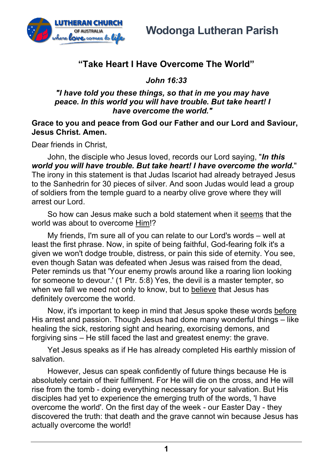

## **"Take Heart I Have Overcome The World"**

*John 16:33*

## *"I have told you these things, so that in me you may have peace. In this world you will have trouble. But take heart! I have overcome the world."*

## **Grace to you and peace from God our Father and our Lord and Saviour, Jesus Christ. Amen.**

Dear friends in Christ,

John, the disciple who Jesus loved, records our Lord saying, "*In this world you will have trouble. But take heart! I have overcome the world.*" The irony in this statement is that Judas Iscariot had already betrayed Jesus to the Sanhedrin for 30 pieces of silver. And soon Judas would lead a group of soldiers from the temple guard to a nearby olive grove where they will arrest our Lord.

So how can Jesus make such a bold statement when it seems that the world was about to overcome Him!?

My friends, I'm sure all of you can relate to our Lord's words – well at least the first phrase. Now, in spite of being faithful, God-fearing folk it's a given we won't dodge trouble, distress, or pain this side of eternity. You see, even though Satan was defeated when Jesus was raised from the dead, Peter reminds us that 'Your enemy prowls around like a roaring lion looking for someone to devour.' (1 Ptr. 5:8) Yes, the devil is a master tempter, so when we fall we need not only to know, but to believe that Jesus has definitely overcome the world.

Now, it's important to keep in mind that Jesus spoke these words before His arrest and passion. Though Jesus had done many wonderful things – like healing the sick, restoring sight and hearing, exorcising demons, and forgiving sins – He still faced the last and greatest enemy: the grave.

Yet Jesus speaks as if He has already completed His earthly mission of salvation.

However, Jesus can speak confidently of future things because He is absolutely certain of their fulfilment. For He will die on the cross, and He will rise from the tomb - doing everything necessary for your salvation. But His disciples had yet to experience the emerging truth of the words, 'I have overcome the world'. On the first day of the week - our Easter Day - they discovered the truth: that death and the grave cannot win because Jesus has actually overcome the world!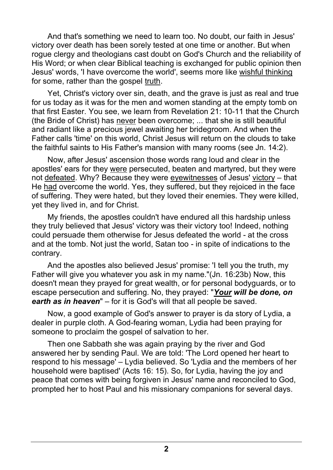And that's something we need to learn too. No doubt, our faith in Jesus' victory over death has been sorely tested at one time or another. But when rogue clergy and theologians cast doubt on God's Church and the reliability of His Word; or when clear Biblical teaching is exchanged for public opinion then Jesus' words, 'I have overcome the world', seems more like wishful thinking for some, rather than the gospel truth.

Yet, Christ's victory over sin, death, and the grave is just as real and true for us today as it was for the men and women standing at the empty tomb on that first Easter. You see, we learn from Revelation 21: 10-11 that the Church (the Bride of Christ) has never been overcome; ... that she is still beautiful and radiant like a precious jewel awaiting her bridegroom. And when the Father calls 'time' on this world, Christ Jesus will return on the clouds to take the faithful saints to His Father's mansion with many rooms (see Jn. 14:2).

Now, after Jesus' ascension those words rang loud and clear in the apostles' ears for they were persecuted, beaten and martyred, but they were not defeated. Why? Because they were eyewitnesses of Jesus' victory – that He had overcome the world. Yes, they suffered, but they rejoiced in the face of suffering. They were hated, but they loved their enemies. They were killed, yet they lived in, and for Christ.

My friends, the apostles couldn't have endured all this hardship unless they truly believed that Jesus' victory was their victory too! Indeed, nothing could persuade them otherwise for Jesus defeated the world - at the cross and at the tomb. Not just the world, Satan too - in spite of indications to the contrary.

And the apostles also believed Jesus' promise: 'I tell you the truth, my Father will give you whatever you ask in my name."(Jn. 16:23b) Now, this doesn't mean they prayed for great wealth, or for personal bodyguards, or to escape persecution and suffering. No, they prayed: "*Your will be done, on earth as in heaven*" – for it is God's will that all people be saved.

Now, a good example of God's answer to prayer is da story of Lydia, a dealer in purple cloth. A God-fearing woman, Lydia had been praying for someone to proclaim the gospel of salvation to her.

Then one Sabbath she was again praying by the river and God answered her by sending Paul. We are told: 'The Lord opened her heart to respond to his message' – Lydia believed. So 'Lydia and the members of her household were baptised' (Acts 16: 15). So, for Lydia, having the joy and peace that comes with being forgiven in Jesus' name and reconciled to God, prompted her to host Paul and his missionary companions for several days.